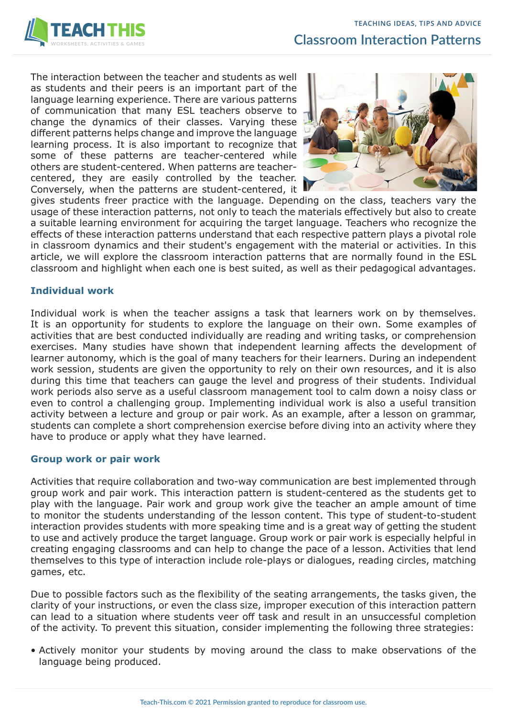

The interaction between the teacher and students as well as students and their peers is an important part of the language learning experience. There are various patterns of communication that many ESL teachers observe to change the dynamics of their classes. Varying these different patterns helps change and improve the language learning process. It is also important to recognize that some of these patterns are teacher-centered while others are student-centered. When patterns are teachercentered, they are easily controlled by the teacher. Conversely, when the patterns are student-centered, it



gives students freer practice with the language. Depending on the class, teachers vary the usage of these interaction patterns, not only to teach the materials effectively but also to create a suitable learning environment for acquiring the target language. Teachers who recognize the effects of these interaction patterns understand that each respective pattern plays a pivotal role in classroom dynamics and their student's engagement with the material or activities. In this article, we will explore the classroom interaction patterns that are normally found in the ESL classroom and highlight when each one is best suited, as well as their pedagogical advantages.

## **Individual work**

Individual work is when the teacher assigns a task that learners work on by themselves. It is an opportunity for students to explore the language on their own. Some examples of activities that are best conducted individually are reading and writing tasks, or comprehension exercises. Many studies have shown that independent learning affects the development of learner autonomy, which is the goal of many teachers for their learners. During an independent work session, students are given the opportunity to rely on their own resources, and it is also during this time that teachers can gauge the level and progress of their students. Individual work periods also serve as a useful classroom management tool to calm down a noisy class or even to control a challenging group. Implementing individual work is also a useful transition activity between a lecture and group or pair work. As an example, after a lesson on grammar, students can complete a short comprehension exercise before diving into an activity where they have to produce or apply what they have learned.

### **Group work or pair work**

Activities that require collaboration and two-way communication are best implemented through group work and pair work. This interaction pattern is student-centered as the students get to play with the language. Pair work and group work give the teacher an ample amount of time to monitor the students understanding of the lesson content. This type of student-to-student interaction provides students with more speaking time and is a great way of getting the student to use and actively produce the target language. Group work or pair work is especially helpful in creating engaging classrooms and can help to change the pace of a lesson. Activities that lend themselves to this type of interaction include role-plays or dialogues, reading circles, matching games, etc.

Due to possible factors such as the flexibility of the seating arrangements, the tasks given, the clarity of your instructions, or even the class size, improper execution of this interaction pattern can lead to a situation where students veer off task and result in an unsuccessful completion of the activity. To prevent this situation, consider implementing the following three strategies:

• Actively monitor your students by moving around the class to make observations of the language being produced.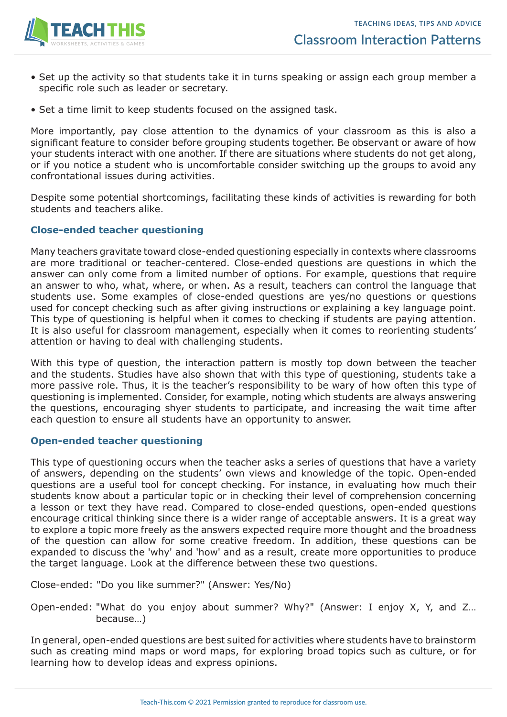

- Set up the activity so that students take it in turns speaking or assign each group member a specific role such as leader or secretary.
- Set a time limit to keep students focused on the assigned task.

More importantly, pay close attention to the dynamics of your classroom as this is also a significant feature to consider before grouping students together. Be observant or aware of how your students interact with one another. If there are situations where students do not get along, or if you notice a student who is uncomfortable consider switching up the groups to avoid any confrontational issues during activities.

Despite some potential shortcomings, facilitating these kinds of activities is rewarding for both students and teachers alike.

## **Close-ended teacher questioning**

Many teachers gravitate toward close-ended questioning especially in contexts where classrooms are more traditional or teacher-centered. Close-ended questions are questions in which the answer can only come from a limited number of options. For example, questions that require an answer to who, what, where, or when. As a result, teachers can control the language that students use. Some examples of close-ended questions are yes/no questions or questions used for concept checking such as after giving instructions or explaining a key language point. This type of questioning is helpful when it comes to checking if students are paying attention. It is also useful for classroom management, especially when it comes to reorienting students' attention or having to deal with challenging students.

With this type of question, the interaction pattern is mostly top down between the teacher and the students. Studies have also shown that with this type of questioning, students take a more passive role. Thus, it is the teacher's responsibility to be wary of how often this type of questioning is implemented. Consider, for example, noting which students are always answering the questions, encouraging shyer students to participate, and increasing the wait time after each question to ensure all students have an opportunity to answer.

### **Open-ended teacher questioning**

This type of questioning occurs when the teacher asks a series of questions that have a variety of answers, depending on the students' own views and knowledge of the topic. Open-ended questions are a useful tool for concept checking. For instance, in evaluating how much their students know about a particular topic or in checking their level of comprehension concerning a lesson or text they have read. Compared to close-ended questions, open-ended questions encourage critical thinking since there is a wider range of acceptable answers. It is a great way to explore a topic more freely as the answers expected require more thought and the broadness of the question can allow for some creative freedom. In addition, these questions can be expanded to discuss the 'why' and 'how' and as a result, create more opportunities to produce the target language. Look at the difference between these two questions.

Close-ended: "Do you like summer?" (Answer: Yes/No)

Open-ended: "What do you enjoy about summer? Why?" (Answer: I enjoy X, Y, and Z… because…)

In general, open-ended questions are best suited for activities where students have to brainstorm such as creating mind maps or word maps, for exploring broad topics such as culture, or for learning how to develop ideas and express opinions.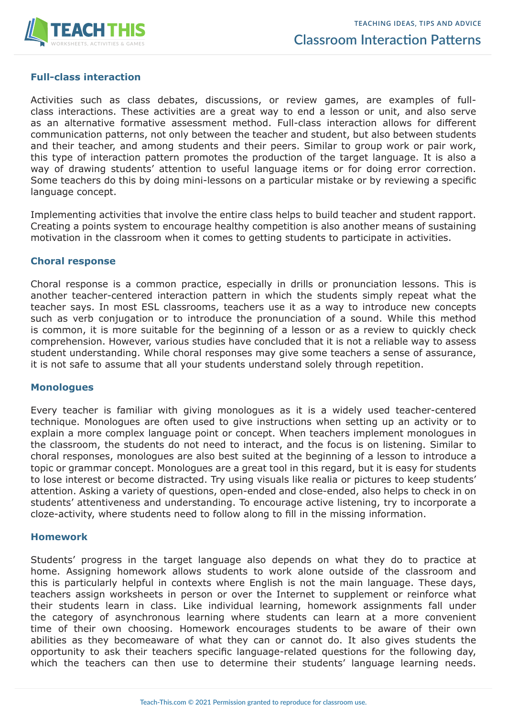

## **Full-class interaction**

Activities such as class debates, discussions, or review games, are examples of fullclass interactions. These activities are a great way to end a lesson or unit, and also serve as an alternative formative assessment method. Full-class interaction allows for different communication patterns, not only between the teacher and student, but also between students and their teacher, and among students and their peers. Similar to group work or pair work, this type of interaction pattern promotes the production of the target language. It is also a way of drawing students' attention to useful language items or for doing error correction. Some teachers do this by doing mini-lessons on a particular mistake or by reviewing a specific language concept.

Implementing activities that involve the entire class helps to build teacher and student rapport. Creating a points system to encourage healthy competition is also another means of sustaining motivation in the classroom when it comes to getting students to participate in activities.

### **Choral response**

Choral response is a common practice, especially in drills or pronunciation lessons. This is another teacher-centered interaction pattern in which the students simply repeat what the teacher says. In most ESL classrooms, teachers use it as a way to introduce new concepts such as verb conjugation or to introduce the pronunciation of a sound. While this method is common, it is more suitable for the beginning of a lesson or as a review to quickly check comprehension. However, various studies have concluded that it is not a reliable way to assess student understanding. While choral responses may give some teachers a sense of assurance, it is not safe to assume that all your students understand solely through repetition.

### **Monologues**

Every teacher is familiar with giving monologues as it is a widely used teacher-centered technique. Monologues are often used to give instructions when setting up an activity or to explain a more complex language point or concept. When teachers implement monologues in the classroom, the students do not need to interact, and the focus is on listening. Similar to choral responses, monologues are also best suited at the beginning of a lesson to introduce a topic or grammar concept. Monologues are a great tool in this regard, but it is easy for students to lose interest or become distracted. Try using visuals like realia or pictures to keep students' attention. Asking a variety of questions, open-ended and close-ended, also helps to check in on students' attentiveness and understanding. To encourage active listening, try to incorporate a cloze-activity, where students need to follow along to fill in the missing information.

### **Homework**

Students' progress in the target language also depends on what they do to practice at home. Assigning homework allows students to work alone outside of the classroom and this is particularly helpful in contexts where English is not the main language. These days, teachers assign worksheets in person or over the Internet to supplement or reinforce what their students learn in class. Like individual learning, homework assignments fall under the category of asynchronous learning where students can learn at a more convenient time of their own choosing. Homework encourages students to be aware of their own abilities as they becomeaware of what they can or cannot do. It also gives students the opportunity to ask their teachers specific language-related questions for the following day, which the teachers can then use to determine their students' language learning needs.